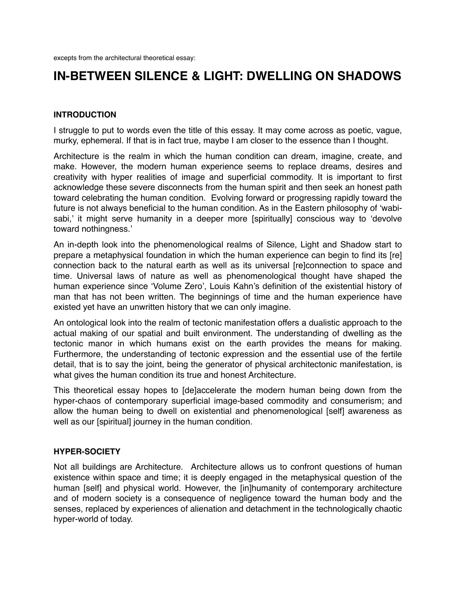# **IN-BETWEEN SILENCE & LIGHT: DWELLING ON SHADOWS**

# **INTRODUCTION**

I struggle to put to words even the title of this essay. It may come across as poetic, vague, murky, ephemeral. If that is in fact true, maybe I am closer to the essence than I thought.

Architecture is the realm in which the human condition can dream, imagine, create, and make. However, the modern human experience seems to replace dreams, desires and creativity with hyper realities of image and superficial commodity. It is important to first acknowledge these severe disconnects from the human spirit and then seek an honest path toward celebrating the human condition. Evolving forward or progressing rapidly toward the future is not always beneficial to the human condition. As in the Eastern philosophy of 'wabisabi,' it might serve humanity in a deeper more [spiritually] conscious way to 'devolve toward nothingness.'

An in-depth look into the phenomenological realms of Silence, Light and Shadow start to prepare a metaphysical foundation in which the human experience can begin to find its [re] connection back to the natural earth as well as its universal [re]connection to space and time. Universal laws of nature as well as phenomenological thought have shaped the human experience since 'Volume Zero', Louis Kahn's definition of the existential history of man that has not been written. The beginnings of time and the human experience have existed yet have an unwritten history that we can only imagine.

An ontological look into the realm of tectonic manifestation offers a dualistic approach to the actual making of our spatial and built environment. The understanding of dwelling as the tectonic manor in which humans exist on the earth provides the means for making. Furthermore, the understanding of tectonic expression and the essential use of the fertile detail, that is to say the joint, being the generator of physical architectonic manifestation, is what gives the human condition its true and honest Architecture.

This theoretical essay hopes to [de]accelerate the modern human being down from the hyper-chaos of contemporary superficial image-based commodity and consumerism; and allow the human being to dwell on existential and phenomenological [self] awareness as well as our [spiritual] journey in the human condition.

### **HYPER-SOCIETY**

Not all buildings are Architecture. Architecture allows us to confront questions of human existence within space and time; it is deeply engaged in the metaphysical question of the human [self] and physical world. However, the [in]humanity of contemporary architecture and of modern society is a consequence of negligence toward the human body and the senses, replaced by experiences of alienation and detachment in the technologically chaotic hyper-world of today.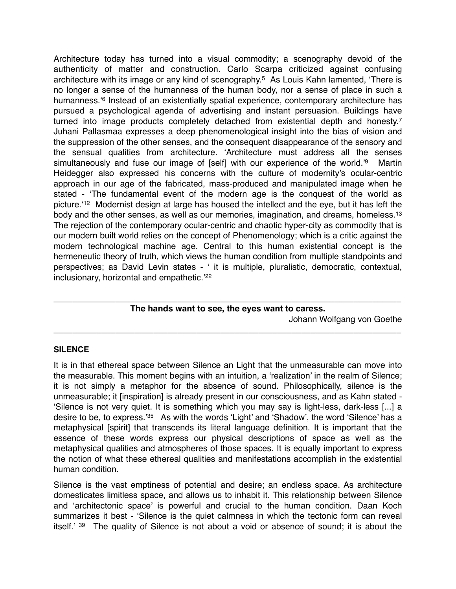Architecture today has turned into a visual commodity; a scenography devoid of the authenticity of matter and construction. Carlo Scarpa criticized against confusing architecture with its image or any kind of scenography.5 As Louis Kahn lamented, 'There is no longer a sense of the humanness of the human body, nor a sense of place in such a humanness.<sup>6</sup> Instead of an existentially spatial experience, contemporary architecture has pursued a psychological agenda of advertising and instant persuasion. Buildings have turned into image products completely detached from existential depth and honesty.7 Juhani Pallasmaa expresses a deep phenomenological insight into the bias of vision and the suppression of the other senses, and the consequent disappearance of the sensory and the sensual qualities from architecture. 'Architecture must address all the senses simultaneously and fuse our image of [self] with our experience of the world.<sup>'9</sup> Martin Heidegger also expressed his concerns with the culture of modernity's ocular-centric approach in our age of the fabricated, mass-produced and manipulated image when he stated - 'The fundamental event of the modern age is the conquest of the world as picture.'12 Modernist design at large has housed the intellect and the eye, but it has left the body and the other senses, as well as our memories, imagination, and dreams, homeless.<sup>13</sup> The rejection of the contemporary ocular-centric and chaotic hyper-city as commodity that is our modern built world relies on the concept of Phenomenology; which is a critic against the modern technological machine age. Central to this human existential concept is the hermeneutic theory of truth, which views the human condition from multiple standpoints and perspectives; as David Levin states - ' it is multiple, pluralistic, democratic, contextual, inclusionary, horizontal and empathetic.'22

# \_\_\_\_\_\_\_\_\_\_\_\_\_\_\_\_\_\_\_\_\_\_\_\_\_\_\_\_\_\_\_\_\_\_\_\_\_\_\_\_\_\_\_\_\_\_\_\_\_\_\_\_\_\_\_\_\_\_\_\_\_\_\_\_\_\_\_\_\_\_\_\_\_ **The hands want to see, the eyes want to caress.**

\_\_\_\_\_\_\_\_\_\_\_\_\_\_\_\_\_\_\_\_\_\_\_\_\_\_\_\_\_\_\_\_\_\_\_\_\_\_\_\_\_\_\_\_\_\_\_\_\_\_\_\_\_\_\_\_\_\_\_\_\_\_\_\_\_\_\_\_\_\_\_\_\_

Johann Wolfgang von Goethe

### **SILENCE**

It is in that ethereal space between Silence an Light that the unmeasurable can move into the measurable. This moment begins with an intuition, a 'realization' in the realm of Silence; it is not simply a metaphor for the absence of sound. Philosophically, silence is the unmeasurable; it [inspiration] is already present in our consciousness, and as Kahn stated - 'Silence is not very quiet. It is something which you may say is light-less, dark-less [...] a desire to be, to express.'35 As with the words 'Light' and 'Shadow', the word 'Silence' has a metaphysical [spirit] that transcends its literal language definition. It is important that the essence of these words express our physical descriptions of space as well as the metaphysical qualities and atmospheres of those spaces. It is equally important to express the notion of what these ethereal qualities and manifestations accomplish in the existential human condition.

Silence is the vast emptiness of potential and desire; an endless space. As architecture domesticates limitless space, and allows us to inhabit it. This relationship between Silence and 'architectonic space' is powerful and crucial to the human condition. Daan Koch summarizes it best - 'Silence is the quiet calmness in which the tectonic form can reveal itself.' 39 The quality of Silence is not about a void or absence of sound; it is about the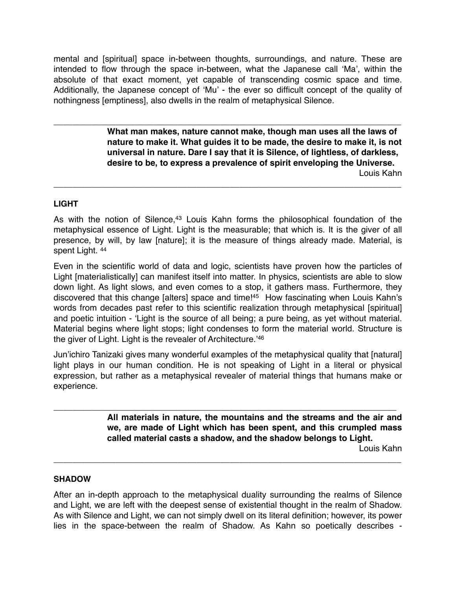mental and [spiritual] space in-between thoughts, surroundings, and nature. These are intended to flow through the space in-between, what the Japanese call 'Ma', within the absolute of that exact moment, yet capable of transcending cosmic space and time. Additionally, the Japanese concept of 'Mu' - the ever so difficult concept of the quality of nothingness [emptiness], also dwells in the realm of metaphysical Silence.

\_\_\_\_\_\_\_\_\_\_\_\_\_\_\_\_\_\_\_\_\_\_\_\_\_\_\_\_\_\_\_\_\_\_\_\_\_\_\_\_\_\_\_\_\_\_\_\_\_\_\_\_\_\_\_\_\_\_\_\_\_\_\_\_\_\_\_\_\_\_\_\_\_

**! ! What man makes, nature cannot make, though man uses all the laws of ! ! nature to make it. What guides it to be made, the desire to make it, is not ! ! universal in nature. Dare I say that it is Silence, of lightless, of darkless, ! ! desire to be, to express a prevalence of spirit enveloping the Universe.** Louis Kahn

### **LIGHT**

As with the notion of Silence,<sup>43</sup> Louis Kahn forms the philosophical foundation of the metaphysical essence of Light. Light is the measurable; that which is. It is the giver of all presence, by will, by law [nature]; it is the measure of things already made. Material, is spent Light. 44

\_\_\_\_\_\_\_\_\_\_\_\_\_\_\_\_\_\_\_\_\_\_\_\_\_\_\_\_\_\_\_\_\_\_\_\_\_\_\_\_\_\_\_\_\_\_\_\_\_\_\_\_\_\_\_\_\_\_\_\_\_\_\_\_\_\_\_\_\_\_\_\_\_

Even in the scientific world of data and logic, scientists have proven how the particles of Light [materialistically] can manifest itself into matter. In physics, scientists are able to slow down light. As light slows, and even comes to a stop, it gathers mass. Furthermore, they discovered that this change [alters] space and time!45 How fascinating when Louis Kahn's words from decades past refer to this scientific realization through metaphysical [spiritual] and poetic intuition - 'Light is the source of all being; a pure being, as yet without material. Material begins where light stops; light condenses to form the material world. Structure is the giver of Light. Light is the revealer of Architecture.'46

Jun'ichiro Tanizaki gives many wonderful examples of the metaphysical quality that [natural] light plays in our human condition. He is not speaking of Light in a literal or physical expression, but rather as a metaphysical revealer of material things that humans make or experience.

\_\_\_\_\_\_\_\_\_\_\_\_\_\_\_\_\_\_\_\_\_\_\_\_\_\_\_\_\_\_\_\_\_\_\_\_\_\_\_\_\_\_\_\_\_\_\_\_\_\_\_\_\_\_\_\_\_\_\_\_\_\_\_\_\_\_\_\_\_\_\_\_

**! ! All materials in nature, the mountains and the streams and the air and ! ! we, are made of Light which has been spent, and this crumpled mass ! ! called material casts a shadow, and the shadow belongs to Light.**

Louis Kahn

### **SHADOW**

After an in-depth approach to the metaphysical duality surrounding the realms of Silence and Light, we are left with the deepest sense of existential thought in the realm of Shadow. As with Silence and Light, we can not simply dwell on its literal definition; however, its power lies in the space-between the realm of Shadow. As Kahn so poetically describes -

\_\_\_\_\_\_\_\_\_\_\_\_\_\_\_\_\_\_\_\_\_\_\_\_\_\_\_\_\_\_\_\_\_\_\_\_\_\_\_\_\_\_\_\_\_\_\_\_\_\_\_\_\_\_\_\_\_\_\_\_\_\_\_\_\_\_\_\_\_\_\_\_\_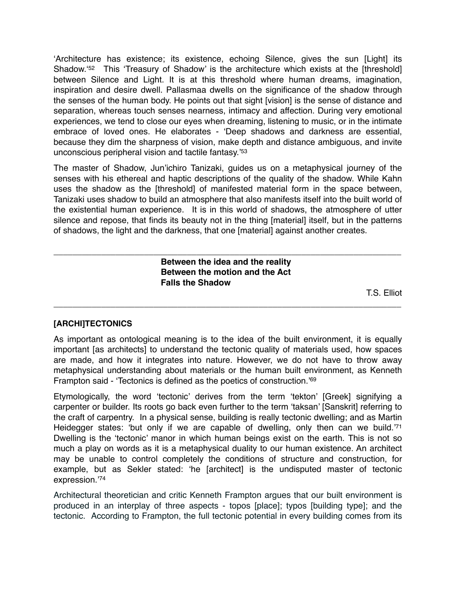'Architecture has existence; its existence, echoing Silence, gives the sun [Light] its Shadow.<sup>'52</sup> This 'Treasury of Shadow' is the architecture which exists at the [threshold] between Silence and Light. It is at this threshold where human dreams, imagination, inspiration and desire dwell. Pallasmaa dwells on the significance of the shadow through the senses of the human body. He points out that sight [vision] is the sense of distance and separation, whereas touch senses nearness, intimacy and affection. During very emotional experiences, we tend to close our eyes when dreaming, listening to music, or in the intimate embrace of loved ones. He elaborates - 'Deep shadows and darkness are essential, because they dim the sharpness of vision, make depth and distance ambiguous, and invite unconscious peripheral vision and tactile fantasy.'53

The master of Shadow, Jun'ichiro Tanizaki, guides us on a metaphysical journey of the senses with his ethereal and haptic descriptions of the quality of the shadow. While Kahn uses the shadow as the [threshold] of manifested material form in the space between, Tanizaki uses shadow to build an atmosphere that also manifests itself into the built world of the existential human experience. It is in this world of shadows, the atmosphere of utter silence and repose, that finds its beauty not in the thing [material] itself, but in the patterns of shadows, the light and the darkness, that one [material] against another creates.

\_\_\_\_\_\_\_\_\_\_\_\_\_\_\_\_\_\_\_\_\_\_\_\_\_\_\_\_\_\_\_\_\_\_\_\_\_\_\_\_\_\_\_\_\_\_\_\_\_\_\_\_\_\_\_\_\_\_\_\_\_\_\_\_\_\_\_\_\_\_\_\_\_ **! ! ! ! Between the idea and the reality ! ! ! ! Between the motion and the Act ! ! ! ! Falls the Shadow**

\_\_\_\_\_\_\_\_\_\_\_\_\_\_\_\_\_\_\_\_\_\_\_\_\_\_\_\_\_\_\_\_\_\_\_\_\_\_\_\_\_\_\_\_\_\_\_\_\_\_\_\_\_\_\_\_\_\_\_\_\_\_\_\_\_\_\_\_\_\_\_\_\_

T.S. Elliot

# **[ARCHI]TECTONICS**

As important as ontological meaning is to the idea of the built environment, it is equally important [as architects] to understand the tectonic quality of materials used, how spaces are made, and how it integrates into nature. However, we do not have to throw away metaphysical understanding about materials or the human built environment, as Kenneth Frampton said - 'Tectonics is defined as the poetics of construction.'69

Etymologically, the word 'tectonic' derives from the term 'tekton' [Greek] signifying a carpenter or builder. Its roots go back even further to the term 'taksan' [Sanskrit] referring to the craft of carpentry. In a physical sense, building is really tectonic dwelling; and as Martin Heidegger states: 'but only if we are capable of dwelling, only then can we build.<sup>71</sup> Dwelling is the 'tectonic' manor in which human beings exist on the earth. This is not so much a play on words as it is a metaphysical duality to our human existence. An architect may be unable to control completely the conditions of structure and construction, for example, but as Sekler stated: 'he [architect] is the undisputed master of tectonic expression.'74

Architectural theoretician and critic Kenneth Frampton argues that our built environment is produced in an interplay of three aspects - topos [place]; typos [building type]; and the tectonic. According to Frampton, the full tectonic potential in every building comes from its